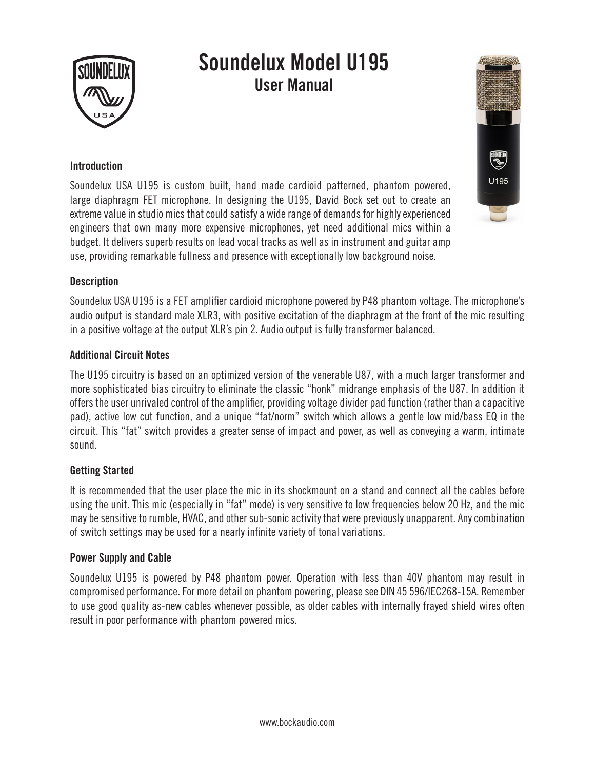

# **Soundelux Model U195 User Manual**

## **Introduction**

Soundelux USA U195 is custom built, hand made cardioid patterned, phantom powered, large diaphragm FET microphone. In designing the U195, David Bock set out to create an extreme value in studio mics that could satisfy a wide range of demands for highly experienced engineers that own many more expensive microphones, yet need additional mics within a budget. It delivers superb results on lead vocal tracks as well as in instrument and guitar amp use, providing remarkable fullness and presence with exceptionally low background noise.

#### **Description**

Soundelux USA U195 is a FET amplifier cardioid microphone powered by P48 phantom voltage. The microphone's audio output is standard male XLR3, with positive excitation of the diaphragm at the front of the mic resulting in a positive voltage at the output XLR's pin 2. Audio output is fully transformer balanced.

### **Additional Circuit Notes**

The U195 circuitry is based on an optimized version of the venerable U87, with a much larger transformer and more sophisticated bias circuitry to eliminate the classic "honk" midrange emphasis of the U87. In addition it offers the user unrivaled control of the amplifier, providing voltage divider pad function (rather than a capacitive pad), active low cut function, and a unique "fat/norm" switch which allows a gentle low mid/bass EQ in the circuit. This "fat" switch provides a greater sense of impact and power, as well as conveying a warm, intimate sound.

#### **Getting Started**

It is recommended that the user place the mic in its shockmount on a stand and connect all the cables before using the unit. This mic (especially in "fat" mode) is very sensitive to low frequencies below 20 Hz, and the mic may be sensitive to rumble, HVAC, and other sub-sonic activity that were previously unapparent. Any combination of switch settings may be used for a nearly infinite variety of tonal variations.

#### **Power Supply and Cable**

Soundelux U195 is powered by P48 phantom power. Operation with less than 40V phantom may result in compromised performance. For more detail on phantom powering, please see DIN 45 596/IEC268-15A. Remember to use good quality as-new cables whenever possible, as older cables with internally frayed shield wires often result in poor performance with phantom powered mics.